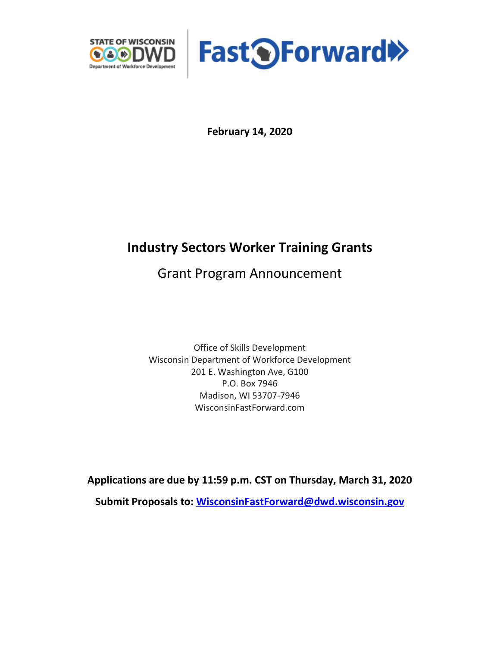



**February 14, 2020**

# **Industry Sectors Worker Training Grants**

Grant Program Announcement

Office of Skills Development Wisconsin Department of Workforce Development 201 E. Washington Ave, G100 P.O. Box 7946 Madison, WI 53707-7946 WisconsinFastForward.com

**Applications are due by 11:59 p.m. CST on Thursday, March 31, 2020**

**Submit Proposals to: [WisconsinFastForward@dwd.wisconsin.gov](mailto:WisconsinFastForward@dwd.wisconsin.gov)**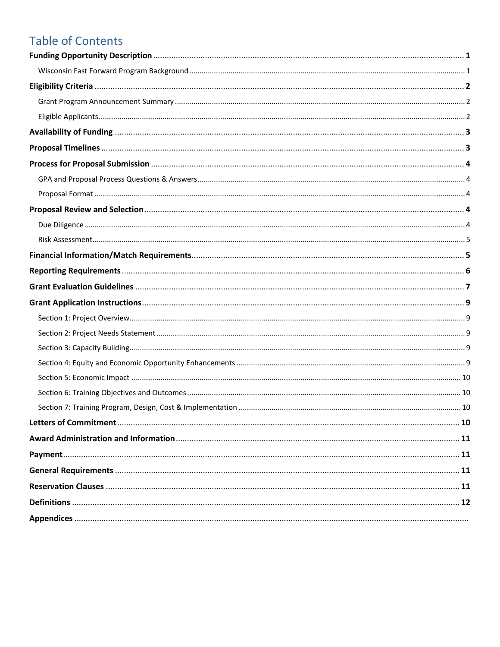# **Table of Contents**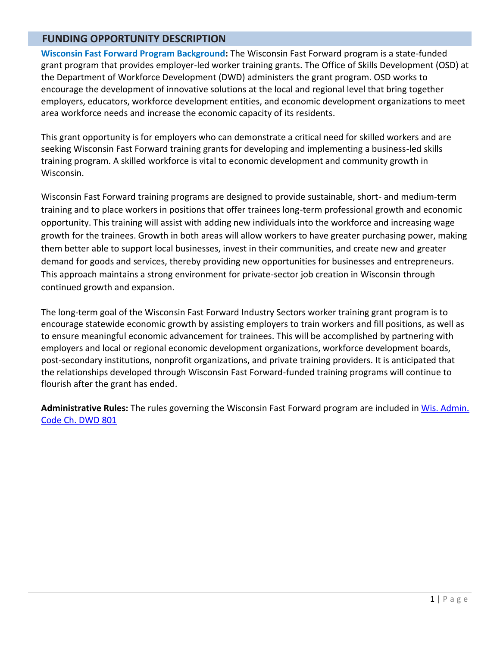## **FUNDING OPPORTUNITY DESCRIPTION**

**Wisconsin Fast Forward Program Background:** The Wisconsin Fast Forward program is a state-funded grant program that provides employer-led worker training grants. The Office of Skills Development (OSD) at the Department of Workforce Development (DWD) administers the grant program. OSD works to encourage the development of innovative solutions at the local and regional level that bring together employers, educators, workforce development entities, and economic development organizations to meet area workforce needs and increase the economic capacity of its residents.

This grant opportunity is for employers who can demonstrate a critical need for skilled workers and are seeking Wisconsin Fast Forward training grants for developing and implementing a business-led skills training program. A skilled workforce is vital to economic development and community growth in Wisconsin.

Wisconsin Fast Forward training programs are designed to provide sustainable, short- and medium-term training and to place workers in positions that offer trainees long-term professional growth and economic opportunity. This training will assist with adding new individuals into the workforce and increasing wage growth for the trainees. Growth in both areas will allow workers to have greater purchasing power, making them better able to support local businesses, invest in their communities, and create new and greater demand for goods and services, thereby providing new opportunities for businesses and entrepreneurs. This approach maintains a strong environment for private-sector job creation in Wisconsin through continued growth and expansion.

The long-term goal of the Wisconsin Fast Forward Industry Sectors worker training grant program is to encourage statewide economic growth by assisting employers to train workers and fill positions, as well as to ensure meaningful economic advancement for trainees. This will be accomplished by partnering with employers and local or regional economic development organizations, workforce development boards, post-secondary institutions, nonprofit organizations, and private training providers. It is anticipated that the relationships developed through Wisconsin Fast Forward-funded training programs will continue to flourish after the grant has ended.

**Administrative Rules:** The rules governing the Wisconsin Fast Forward program are included i[n Wis. Admin.](http://docs.legis.wisconsin.gov/code/admin_code/dwd/801/801)  [Code Ch. DWD 801](http://docs.legis.wisconsin.gov/code/admin_code/dwd/801/801)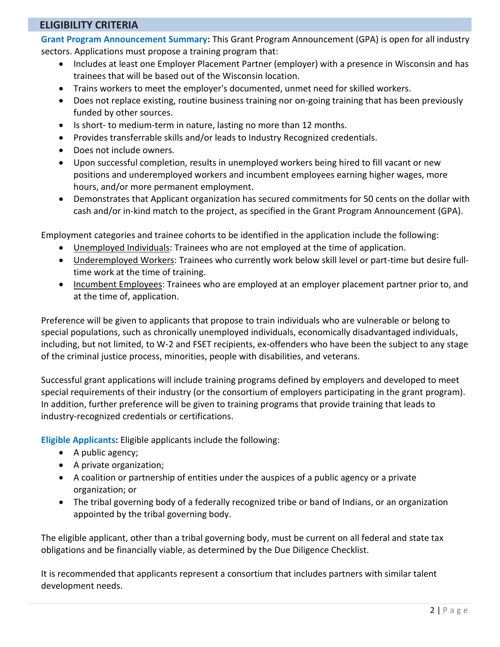## **ELIGIBILITY CRITERIA**

**Grant Program Announcement Summary:** This Grant Program Announcement (GPA) is open for all industry sectors. Applications must propose a training program that:

- Includes at least one Employer Placement Partner (employer) with a presence in Wisconsin and has trainees that will be based out of the Wisconsin location.
- Trains workers to meet the employer's documented, unmet need for skilled workers.
- Does not replace existing, routine business training nor on-going training that has been previously funded by other sources.
- Is short- to medium-term in nature, lasting no more than 12 months.
- Provides transferrable skills and/or leads to Industry Recognized credentials.
- Does not include owners.
- Upon successful completion, results in unemployed workers being hired to fill vacant or new positions and underemployed workers and incumbent employees earning higher wages, more hours, and/or more permanent employment.
- Demonstrates that Applicant organization has secured commitments for 50 cents on the dollar with cash and/or in-kind match to the project, as specified in the Grant Program Announcement (GPA).

Employment categories and trainee cohorts to be identified in the application include the following:

- Unemployed Individuals: Trainees who are not employed at the time of application.
- Underemployed Workers: Trainees who currently work below skill level or part-time but desire fulltime work at the time of training.
- Incumbent Employees: Trainees who are employed at an employer placement partner prior to, and at the time of, application.

Preference will be given to applicants that propose to train individuals who are vulnerable or belong to special populations, such as chronically unemployed individuals, economically disadvantaged individuals, including, but not limited, to W-2 and FSET recipients, ex-offenders who have been the subject to any stage of the criminal justice process, minorities, people with disabilities, and veterans.

Successful grant applications will include training programs defined by employers and developed to meet special requirements of their industry (or the consortium of employers participating in the grant program). In addition, further preference will be given to training programs that provide training that leads to industry-recognized credentials or certifications.

**Eligible Applicants:** Eligible applicants include the following:

- A public agency;
- A private organization;
- A coalition or partnership of entities under the auspices of a public agency or a private organization; or
- The tribal governing body of a federally recognized tribe or band of Indians, or an organization appointed by the tribal governing body.

The eligible applicant, other than a tribal governing body, must be current on all federal and state tax obligations and be financially viable, as determined by the Due Diligence Checklist.

It is recommended that applicants represent a consortium that includes partners with similar talent development needs.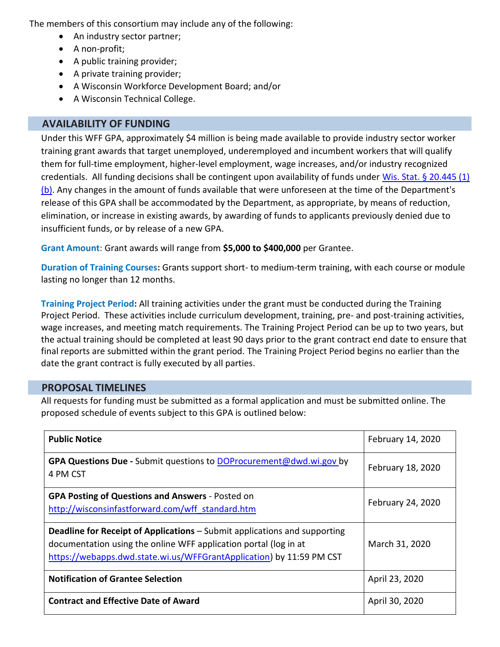The members of this consortium may include any of the following:

- An industry sector partner;
- A non-profit;
- A public training provider;
- A private training provider;
- A Wisconsin Workforce Development Board; and/or
- A Wisconsin Technical College.

# **AVAILABILITY OF FUNDING**

Under this WFF GPA, approximately \$4 million is being made available to provide industry sector worker training grant awards that target unemployed, underemployed and incumbent workers that will qualify them for full-time employment, higher-level employment, wage increases, and/or industry recognized credentials. All funding decisions shall be contingent upon availability of funds under [Wis. Stat. §](https://docs.legis.wisconsin.gov/document/statutes/20.445(1)(b)) 20.445 (1) [\(b\).](https://docs.legis.wisconsin.gov/document/statutes/20.445(1)(b)) Any changes in the amount of funds available that were unforeseen at the time of the Department's release of this GPA shall be accommodated by the Department, as appropriate, by means of reduction, elimination, or increase in existing awards, by awarding of funds to applicants previously denied due to insufficient funds, or by release of a new GPA.

**Grant Amount**: Grant awards will range from **\$5,000 to \$400,000** per Grantee.

**Duration of Training Courses:** Grants support short- to medium-term training, with each course or module lasting no longer than 12 months.

**Training Project Period:** All training activities under the grant must be conducted during the Training Project Period. These activities include curriculum development, training, pre- and post-training activities, wage increases, and meeting match requirements. The Training Project Period can be up to two years, but the actual training should be completed at least 90 days prior to the grant contract end date to ensure that final reports are submitted within the grant period. The Training Project Period begins no earlier than the date the grant contract is fully executed by all parties.

# **PROPOSAL TIMELINES**

All requests for funding must be submitted as a formal application and must be submitted online. The proposed schedule of events subject to this GPA is outlined below:

| <b>Public Notice</b>                                                                                                                                                                                                         | February 14, 2020 |
|------------------------------------------------------------------------------------------------------------------------------------------------------------------------------------------------------------------------------|-------------------|
| GPA Questions Due - Submit questions to DOProcurement@dwd.wi.gov by<br>4 PM CST                                                                                                                                              | February 18, 2020 |
| <b>GPA Posting of Questions and Answers - Posted on</b><br>http://wisconsinfastforward.com/wff standard.htm                                                                                                                  | February 24, 2020 |
| <b>Deadline for Receipt of Applications - Submit applications and supporting</b><br>documentation using the online WFF application portal (log in at<br>https://webapps.dwd.state.wi.us/WFFGrantApplication) by 11:59 PM CST | March 31, 2020    |
| <b>Notification of Grantee Selection</b>                                                                                                                                                                                     | April 23, 2020    |
| <b>Contract and Effective Date of Award</b>                                                                                                                                                                                  | April 30, 2020    |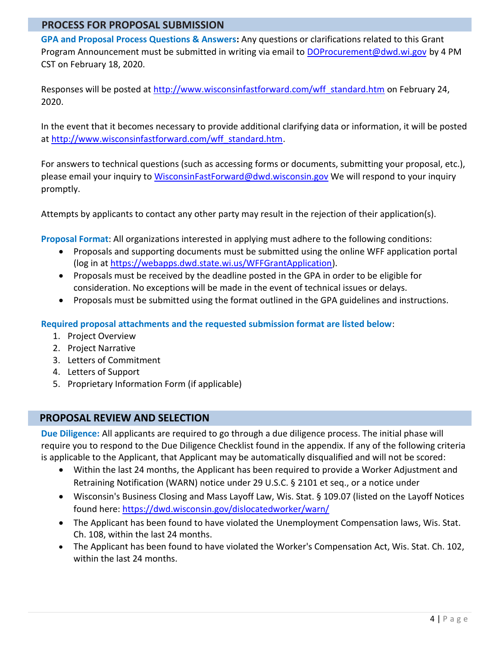# **PROCESS FOR PROPOSAL SUBMISSION**

**GPA and Proposal Process Questions & Answers:** Any questions or clarifications related to this Grant Program Announcement must be submitted in writing via email to [DOProcurement@dwd.wi.gov](mailto:DOProcurement@dwd.wi.gov) by 4 PM CST on February 18, 2020.

Responses will be posted at [http://www.wisconsinfastforward.com/wff\\_standard.htm](http://www.wisconsinfastforward.com/wff_standard.htm) on February 24, 2020.

In the event that it becomes necessary to provide additional clarifying data or information, it will be posted at [http://www.wisconsinfastforward.com/wff\\_standard.htm.](http://www.wisconsinfastforward.com/wff_standard.htm)

For answers to technical questions (such as accessing forms or documents, submitting your proposal, etc.), please email your inquiry to [WisconsinFastForward@dwd.wisconsin.gov](mailto:WisconsinFastForward@dwd.wisconsin.gov) We will respond to your inquiry promptly.

Attempts by applicants to contact any other party may result in the rejection of their application(s).

**Proposal Format**: All organizations interested in applying must adhere to the following conditions:

- Proposals and supporting documents must be submitted using the online WFF application portal (log in at [https://webapps.dwd.state.wi.us/WFFGrantApplication\)](https://webapps.dwd.state.wi.us/WFFGrantApplication).
- Proposals must be received by the deadline posted in the GPA in order to be eligible for consideration. No exceptions will be made in the event of technical issues or delays.
- Proposals must be submitted using the format outlined in the GPA guidelines and instructions.

**Required proposal attachments and the requested submission format are listed below**:

- 1. Project Overview
- 2. Project Narrative
- 3. Letters of Commitment
- 4. Letters of Support
- 5. Proprietary Information Form (if applicable)

## **PROPOSAL REVIEW AND SELECTION**

**Due Diligence:** All applicants are required to go through a due diligence process. The initial phase will require you to respond to the Due Diligence Checklist found in the appendix. If any of the following criteria is applicable to the Applicant, that Applicant may be automatically disqualified and will not be scored:

- Within the last 24 months, the Applicant has been required to provide a Worker Adjustment and Retraining Notification (WARN) notice under 29 U.S.C. § 2101 et seq., or a notice under
- Wisconsin's Business Closing and Mass Layoff Law, Wis. Stat. § 109.07 (listed on the Layoff Notices found here:<https://dwd.wisconsin.gov/dislocatedworker/warn/>
- The Applicant has been found to have violated the Unemployment Compensation laws, Wis. Stat. Ch. 108, within the last 24 months.
- The Applicant has been found to have violated the Worker's Compensation Act, Wis. Stat. Ch. 102, within the last 24 months.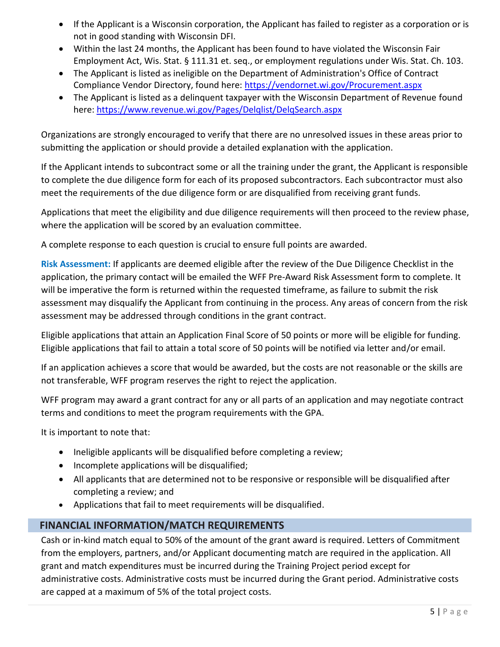- If the Applicant is a Wisconsin corporation, the Applicant has failed to register as a corporation or is not in good standing with Wisconsin DFI.
- Within the last 24 months, the Applicant has been found to have violated the Wisconsin Fair Employment Act, Wis. Stat. § 111.31 et. seq., or employment regulations under Wis. Stat. Ch. 103.
- The Applicant is listed as ineligible on the Department of Administration's Office of Contract Compliance Vendor Directory, found here:<https://vendornet.wi.gov/Procurement.aspx>
- The Applicant is listed as a delinquent taxpayer with the Wisconsin Department of Revenue found here:<https://www.revenue.wi.gov/Pages/Delqlist/DelqSearch.aspx>

Organizations are strongly encouraged to verify that there are no unresolved issues in these areas prior to submitting the application or should provide a detailed explanation with the application.

If the Applicant intends to subcontract some or all the training under the grant, the Applicant is responsible to complete the due diligence form for each of its proposed subcontractors. Each subcontractor must also meet the requirements of the due diligence form or are disqualified from receiving grant funds.

Applications that meet the eligibility and due diligence requirements will then proceed to the review phase, where the application will be scored by an evaluation committee.

A complete response to each question is crucial to ensure full points are awarded.

**Risk Assessment:** If applicants are deemed eligible after the review of the Due Diligence Checklist in the application, the primary contact will be emailed the WFF Pre-Award Risk Assessment form to complete. It will be imperative the form is returned within the requested timeframe, as failure to submit the risk assessment may disqualify the Applicant from continuing in the process. Any areas of concern from the risk assessment may be addressed through conditions in the grant contract.

Eligible applications that attain an Application Final Score of 50 points or more will be eligible for funding. Eligible applications that fail to attain a total score of 50 points will be notified via letter and/or email.

If an application achieves a score that would be awarded, but the costs are not reasonable or the skills are not transferable, WFF program reserves the right to reject the application.

WFF program may award a grant contract for any or all parts of an application and may negotiate contract terms and conditions to meet the program requirements with the GPA.

It is important to note that:

- Ineligible applicants will be disqualified before completing a review;
- Incomplete applications will be disqualified;
- All applicants that are determined not to be responsive or responsible will be disqualified after completing a review; and
- Applications that fail to meet requirements will be disqualified.

# **FINANCIAL INFORMATION/MATCH REQUIREMENTS**

Cash or in-kind match equal to 50% of the amount of the grant award is required. Letters of Commitment from the employers, partners, and/or Applicant documenting match are required in the application. All grant and match expenditures must be incurred during the Training Project period except for administrative costs. Administrative costs must be incurred during the Grant period. Administrative costs are capped at a maximum of 5% of the total project costs.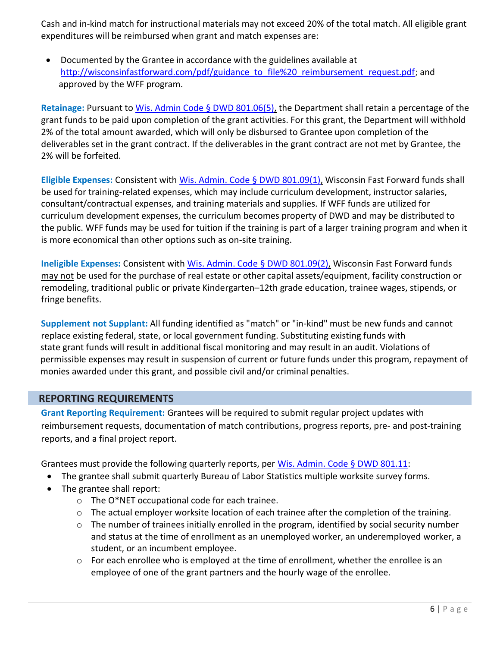Cash and in-kind match for instructional materials may not exceed 20% of the total match. All eligible grant expenditures will be reimbursed when grant and match expenses are:

• Documented by the Grantee in accordance with the guidelines available at [http://wisconsinfastforward.com/pdf/guidance\\_to\\_file%20\\_reimbursement\\_request.pdf;](http://wisconsinfastforward.com/pdf/guidance_to_file%20_reimbursement_request.pdf) and approved by the WFF program.

**Retainage:** Pursuant to Wis. Admin Code § DWD 801.06(5), the Department shall retain a percentage of the grant funds to be paid upon completion of the grant activities. For this grant, the Department will withhold 2% of the total amount awarded, which will only be disbursed to Grantee upon completion of the deliverables set in the grant contract. If the deliverables in the grant contract are not met by Grantee, the 2% will be forfeited.

**Eligible Expenses:** Consistent with Wis. Admin. Code § DWD 801.09(1), Wisconsin Fast Forward funds shall be used for training-related expenses, which may include curriculum development, instructor salaries, consultant/contractual expenses, and training materials and supplies. If WFF funds are utilized for curriculum development expenses, the curriculum becomes property of DWD and may be distributed to the public. WFF funds may be used for tuition if the training is part of a larger training program and when it is more economical than other options such as on-site training.

**Ineligible Expenses:** Consistent with Wis. Admin. Code § DWD 801.09(2), Wisconsin Fast Forward funds may not be used for the purchase of real estate or other capital assets/equipment, facility construction or remodeling, traditional public or private Kindergarten–12th grade education, trainee wages, stipends, or fringe benefits.

**Supplement not Supplant:** All funding identified as "match" or "in-kind" must be new funds and cannot replace existing federal, state, or local government funding. Substituting existing funds with state grant funds will result in additional fiscal monitoring and may result in an audit. Violations of permissible expenses may result in suspension of current or future funds under this program, repayment of monies awarded under this grant, and possible civil and/or criminal penalties.

# **REPORTING REQUIREMENTS**

**Grant Reporting Requirement:** Grantees will be required to submit regular project updates with reimbursement requests, documentation of match contributions, progress reports, pre- and post-training reports, and a final project report.

Grantees must provide the following quarterly reports, per Wis. Admin. Code § DWD 801.11:

- The grantee shall submit quarterly Bureau of Labor Statistics multiple worksite survey forms.
- The grantee shall report:
	- o The O\*NET occupational code for each trainee.
	- $\circ$  The actual employer worksite location of each trainee after the completion of the training.
	- $\circ$  The number of trainees initially enrolled in the program, identified by social security number and status at the time of enrollment as an unemployed worker, an underemployed worker, a student, or an incumbent employee.
	- $\circ$  For each enrollee who is employed at the time of enrollment, whether the enrollee is an employee of one of the grant partners and the hourly wage of the enrollee.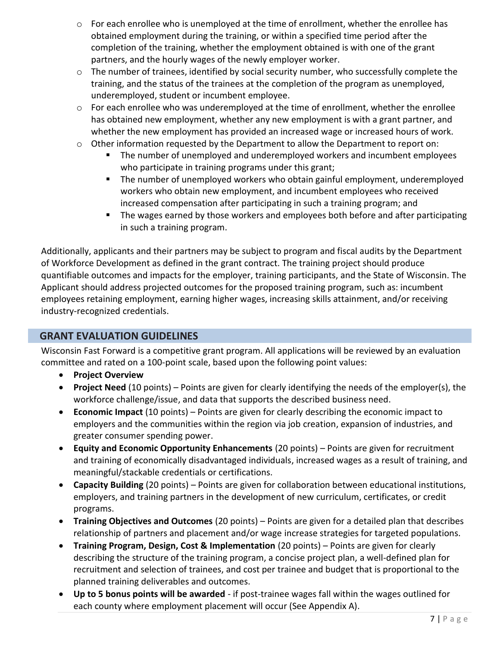- $\circ$  For each enrollee who is unemployed at the time of enrollment, whether the enrollee has obtained employment during the training, or within a specified time period after the completion of the training, whether the employment obtained is with one of the grant partners, and the hourly wages of the newly employer worker.
- o The number of trainees, identified by social security number, who successfully complete the training, and the status of the trainees at the completion of the program as unemployed, underemployed, student or incumbent employee.
- o For each enrollee who was underemployed at the time of enrollment, whether the enrollee has obtained new employment, whether any new employment is with a grant partner, and whether the new employment has provided an increased wage or increased hours of work.
- o Other information requested by the Department to allow the Department to report on:
	- The number of unemployed and underemployed workers and incumbent employees who participate in training programs under this grant;
	- The number of unemployed workers who obtain gainful employment, underemployed workers who obtain new employment, and incumbent employees who received increased compensation after participating in such a training program; and
	- The wages earned by those workers and employees both before and after participating in such a training program.

Additionally, applicants and their partners may be subject to program and fiscal audits by the Department of Workforce Development as defined in the grant contract. The training project should produce quantifiable outcomes and impacts for the employer, training participants, and the State of Wisconsin. The Applicant should address projected outcomes for the proposed training program, such as: incumbent employees retaining employment, earning higher wages, increasing skills attainment, and/or receiving industry-recognized credentials.

# **GRANT EVALUATION GUIDELINES**

Wisconsin Fast Forward is a competitive grant program. All applications will be reviewed by an evaluation committee and rated on a 100-point scale, based upon the following point values:

- **Project Overview**
- **Project Need** (10 points) Points are given for clearly identifying the needs of the employer(s), the workforce challenge/issue, and data that supports the described business need.
- **Economic Impact** (10 points) Points are given for clearly describing the economic impact to employers and the communities within the region via job creation, expansion of industries, and greater consumer spending power.
- **Equity and Economic Opportunity Enhancements** (20 points) Points are given for recruitment and training of economically disadvantaged individuals, increased wages as a result of training, and meaningful/stackable credentials or certifications.
- **Capacity Building** (20 points) Points are given for collaboration between educational institutions, employers, and training partners in the development of new curriculum, certificates, or credit programs.
- **Training Objectives and Outcomes** (20 points) Points are given for a detailed plan that describes relationship of partners and placement and/or wage increase strategies for targeted populations.
- **Training Program, Design, Cost & Implementation** (20 points) Points are given for clearly describing the structure of the training program, a concise project plan, a well-defined plan for recruitment and selection of trainees, and cost per trainee and budget that is proportional to the planned training deliverables and outcomes.
- **Up to 5 bonus points will be awarded**  if post-trainee wages fall within the wages outlined for each county where employment placement will occur (See Appendix A).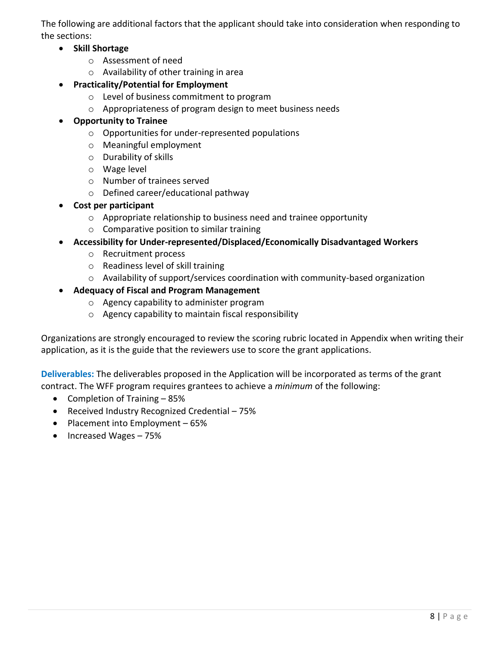The following are additional factors that the applicant should take into consideration when responding to the sections:

- **Skill Shortage**
	- o Assessment of need
	- o Availability of other training in area
- **Practicality/Potential for Employment**
	- o Level of business commitment to program
	- o Appropriateness of program design to meet business needs
- **Opportunity to Trainee**
	- o Opportunities for under-represented populations
	- o Meaningful employment
	- o Durability of skills
	- o Wage level
	- o Number of trainees served
	- o Defined career/educational pathway
- **Cost per participant**
	- o Appropriate relationship to business need and trainee opportunity
	- o Comparative position to similar training
- **Accessibility for Under-represented/Displaced/Economically Disadvantaged Workers**
	- o Recruitment process
	- o Readiness level of skill training
	- o Availability of support/services coordination with community-based organization

# • **Adequacy of Fiscal and Program Management**

- o Agency capability to administer program
- o Agency capability to maintain fiscal responsibility

Organizations are strongly encouraged to review the scoring rubric located in Appendix when writing their application, as it is the guide that the reviewers use to score the grant applications.

**Deliverables:** The deliverables proposed in the Application will be incorporated as terms of the grant contract. The WFF program requires grantees to achieve a *minimum* of the following:

- Completion of Training 85%
- Received Industry Recognized Credential 75%
- Placement into Employment 65%
- Increased Wages 75%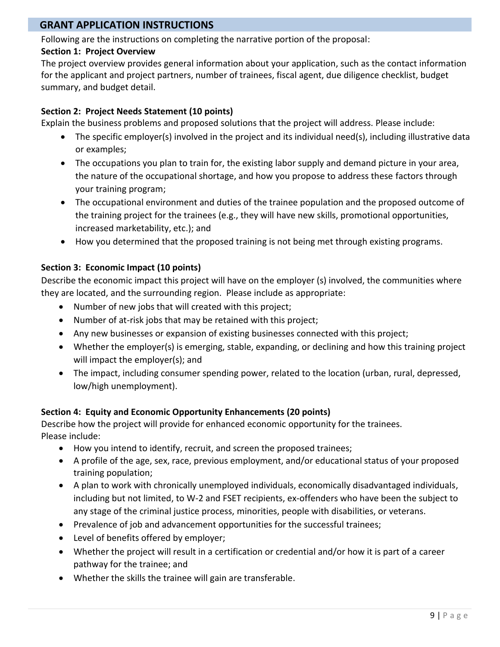# **GRANT APPLICATION INSTRUCTIONS**

Following are the instructions on completing the narrative portion of the proposal:

### **Section 1: Project Overview**

The project overview provides general information about your application, such as the contact information for the applicant and project partners, number of trainees, fiscal agent, due diligence checklist, budget summary, and budget detail.

## **Section 2: Project Needs Statement (10 points)**

Explain the business problems and proposed solutions that the project will address. Please include:

- The specific employer(s) involved in the project and its individual need(s), including illustrative data or examples;
- The occupations you plan to train for, the existing labor supply and demand picture in your area, the nature of the occupational shortage, and how you propose to address these factors through your training program;
- The occupational environment and duties of the trainee population and the proposed outcome of the training project for the trainees (e.g., they will have new skills, promotional opportunities, increased marketability, etc.); and
- How you determined that the proposed training is not being met through existing programs.

# **Section 3: Economic Impact (10 points)**

Describe the economic impact this project will have on the employer (s) involved, the communities where they are located, and the surrounding region. Please include as appropriate:

- Number of new jobs that will created with this project;
- Number of at-risk jobs that may be retained with this project;
- Any new businesses or expansion of existing businesses connected with this project;
- Whether the employer(s) is emerging, stable, expanding, or declining and how this training project will impact the employer(s); and
- The impact, including consumer spending power, related to the location (urban, rural, depressed, low/high unemployment).

## **Section 4: Equity and Economic Opportunity Enhancements (20 points)**

Describe how the project will provide for enhanced economic opportunity for the trainees. Please include:

- How you intend to identify, recruit, and screen the proposed trainees;
- A profile of the age, sex, race, previous employment, and/or educational status of your proposed training population;
- A plan to work with chronically unemployed individuals, economically disadvantaged individuals, including but not limited, to W-2 and FSET recipients, ex-offenders who have been the subject to any stage of the criminal justice process, minorities, people with disabilities, or veterans.
- Prevalence of job and advancement opportunities for the successful trainees;
- Level of benefits offered by employer;
- Whether the project will result in a certification or credential and/or how it is part of a career pathway for the trainee; and
- Whether the skills the trainee will gain are transferable.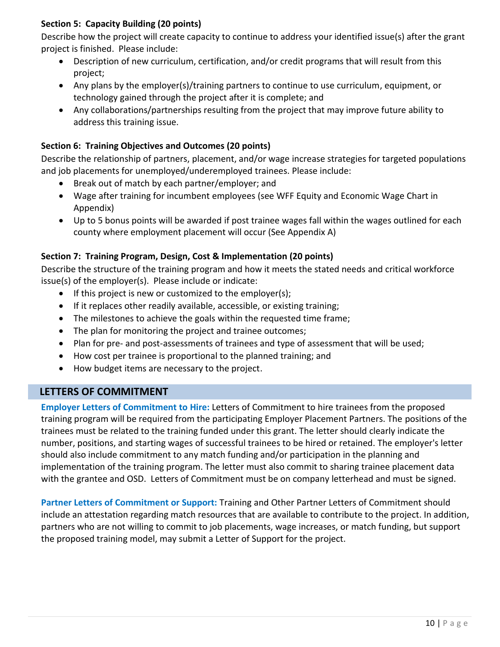# **Section 5: Capacity Building (20 points)**

Describe how the project will create capacity to continue to address your identified issue(s) after the grant project is finished. Please include:

- Description of new curriculum, certification, and/or credit programs that will result from this project;
- Any plans by the employer(s)/training partners to continue to use curriculum, equipment, or technology gained through the project after it is complete; and
- Any collaborations/partnerships resulting from the project that may improve future ability to address this training issue.

# **Section 6: Training Objectives and Outcomes (20 points)**

Describe the relationship of partners, placement, and/or wage increase strategies for targeted populations and job placements for unemployed/underemployed trainees. Please include:

- Break out of match by each partner/employer; and
- Wage after training for incumbent employees (see WFF Equity and Economic Wage Chart in Appendix)
- Up to 5 bonus points will be awarded if post trainee wages fall within the wages outlined for each county where employment placement will occur (See Appendix A)

# **Section 7: Training Program, Design, Cost & Implementation (20 points)**

Describe the structure of the training program and how it meets the stated needs and critical workforce issue(s) of the employer(s). Please include or indicate:

- If this project is new or customized to the employer(s);
- If it replaces other readily available, accessible, or existing training;
- The milestones to achieve the goals within the requested time frame;
- The plan for monitoring the project and trainee outcomes;
- Plan for pre- and post-assessments of trainees and type of assessment that will be used;
- How cost per trainee is proportional to the planned training; and
- How budget items are necessary to the project.

# **LETTERS OF COMMITMENT**

**Employer Letters of Commitment to Hire:** Letters of Commitment to hire trainees from the proposed training program will be required from the participating Employer Placement Partners. The positions of the trainees must be related to the training funded under this grant. The letter should clearly indicate the number, positions, and starting wages of successful trainees to be hired or retained. The employer's letter should also include commitment to any match funding and/or participation in the planning and implementation of the training program. The letter must also commit to sharing trainee placement data with the grantee and OSD. Letters of Commitment must be on company letterhead and must be signed.

**Partner Letters of Commitment or Support:** Training and Other Partner Letters of Commitment should include an attestation regarding match resources that are available to contribute to the project. In addition, partners who are not willing to commit to job placements, wage increases, or match funding, but support the proposed training model, may submit a Letter of Support for the project.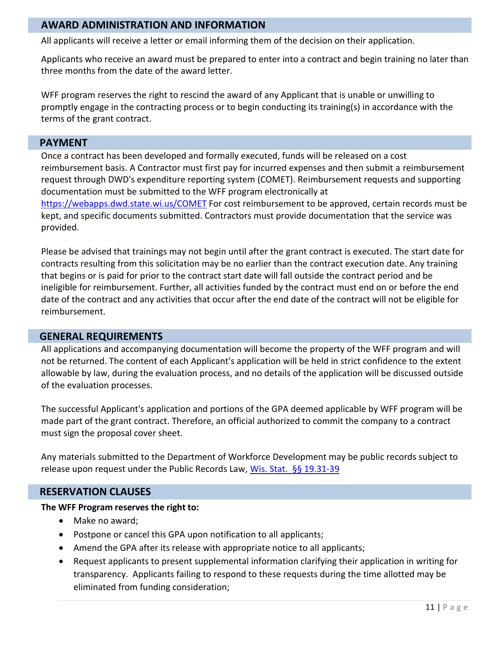### **AWARD ADMINISTRATION AND INFORMATION**

All applicants will receive a letter or email informing them of the decision on their application.

Applicants who receive an award must be prepared to enter into a contract and begin training no later than three months from the date of the award letter.

WFF program reserves the right to rescind the award of any Applicant that is unable or unwilling to promptly engage in the contracting process or to begin conducting its training(s) in accordance with the terms of the grant contract.

### **PAYMENT**

Once a contract has been developed and formally executed, funds will be released on a cost reimbursement basis. A Contractor must first pay for incurred expenses and then submit a reimbursement request through DWD's expenditure reporting system (COMET). Reimbursement requests and supporting documentation must be submitted to the WFF program electronically at <https://webapps.dwd.state.wi.us/COMET> For cost reimbursement to be approved, certain records must be kept, and specific documents submitted. Contractors must provide documentation that the service was provided.

Please be advised that trainings may not begin until after the grant contract is executed. The start date for contracts resulting from this solicitation may be no earlier than the contract execution date. Any training that begins or is paid for prior to the contract start date will fall outside the contract period and be ineligible for reimbursement. Further, all activities funded by the contract must end on or before the end date of the contract and any activities that occur after the end date of the contract will not be eligible for reimbursement.

### **GENERAL REQUIREMENTS**

All applications and accompanying documentation will become the property of the WFF program and will not be returned. The content of each Applicant's application will be held in strict confidence to the extent allowable by law, during the evaluation process, and no details of the application will be discussed outside of the evaluation processes.

The successful Applicant's application and portions of the GPA deemed applicable by WFF program will be made part of the grant contract. Therefore, an official authorized to commit the company to a contract must sign the proposal cover sheet.

Any materials submitted to the Department of Workforce Development may be public records subject to release upon request under the Public Records Law, Wis. Stat. §§ 19.31-39

## **RESERVATION CLAUSES**

#### **The WFF Program reserves the right to:**

- Make no award;
- Postpone or cancel this GPA upon notification to all applicants;
- Amend the GPA after its release with appropriate notice to all applicants;
- Request applicants to present supplemental information clarifying their application in writing for transparency. Applicants failing to respond to these requests during the time allotted may be eliminated from funding consideration;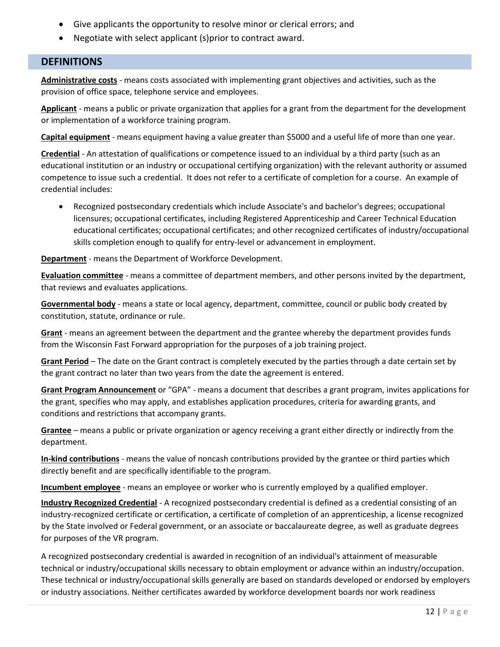- Give applicants the opportunity to resolve minor or clerical errors; and
- Negotiate with select applicant (s)prior to contract award.

# **DEFINITIONS**

**Administrative costs** - means costs associated with implementing grant objectives and activities, such as the provision of office space, telephone service and employees.

**Applicant** - means a public or private organization that applies for a grant from the department for the development or implementation of a workforce training program.

**Capital equipment** - means equipment having a value greater than \$5000 and a useful life of more than one year.

**Credential** - An attestation of qualifications or competence issued to an individual by a third party (such as an educational institution or an industry or occupational certifying organization) with the relevant authority or assumed competence to issue such a credential. It does not refer to a certificate of completion for a course. An example of credential includes:

• Recognized postsecondary credentials which include Associate's and bachelor's degrees; occupational licensures; occupational certificates, including Registered Apprenticeship and Career Technical Education educational certificates; occupational certificates; and other recognized certificates of industry/occupational skills completion enough to qualify for entry-level or advancement in employment.

**Department** - means the Department of Workforce Development.

**Evaluation committee** - means a committee of department members, and other persons invited by the department, that reviews and evaluates applications.

**Governmental body** - means a state or local agency, department, committee, council or public body created by constitution, statute, ordinance or rule.

**Grant** - means an agreement between the department and the grantee whereby the department provides funds from the Wisconsin Fast Forward appropriation for the purposes of a job training project.

**Grant Period** – The date on the Grant contract is completely executed by the parties through a date certain set by the grant contract no later than two years from the date the agreement is entered.

**Grant Program Announcement** or "GPA" - means a document that describes a grant program, invites applications for the grant, specifies who may apply, and establishes application procedures, criteria for awarding grants, and conditions and restrictions that accompany grants.

**Grantee** – means a public or private organization or agency receiving a grant either directly or indirectly from the department.

**In-kind contributions** - means the value of noncash contributions provided by the grantee or third parties which directly benefit and are specifically identifiable to the program.

**Incumbent employee** - means an employee or worker who is currently employed by a qualified employer.

**Industry Recognized Credential** - A recognized postsecondary credential is defined as a credential consisting of an industry-recognized certificate or certification, a certificate of completion of an apprenticeship, a license recognized by the State involved or Federal government, or an associate or baccalaureate degree, as well as graduate degrees for purposes of the VR program.

A recognized postsecondary credential is awarded in recognition of an individual's attainment of measurable technical or industry/occupational skills necessary to obtain employment or advance within an industry/occupation. These technical or industry/occupational skills generally are based on standards developed or endorsed by employers or industry associations. Neither certificates awarded by workforce development boards nor work readiness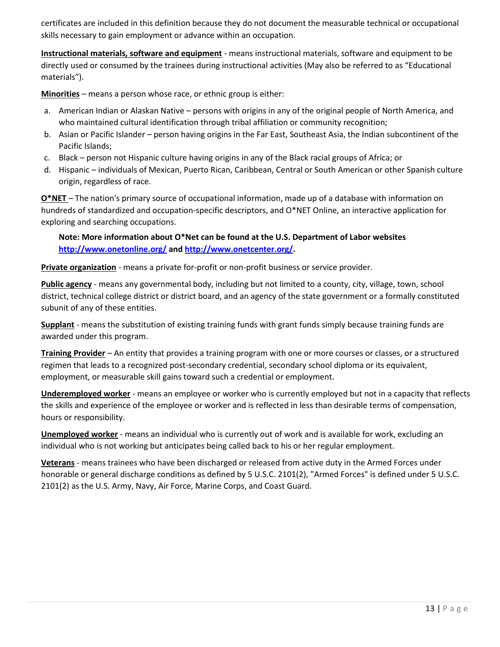certificates are included in this definition because they do not document the measurable technical or occupational skills necessary to gain employment or advance within an occupation.

**Instructional materials, software and equipment** - means instructional materials, software and equipment to be directly used or consumed by the trainees during instructional activities (May also be referred to as "Educational materials").

**Minorities** – means a person whose race, or ethnic group is either:

- a. American Indian or Alaskan Native persons with origins in any of the original people of North America, and who maintained cultural identification through tribal affiliation or community recognition;
- b. Asian or Pacific Islander person having origins in the Far East, Southeast Asia, the Indian subcontinent of the Pacific Islands;
- c. Black person not Hispanic culture having origins in any of the Black racial groups of Africa; or
- d. Hispanic individuals of Mexican, Puerto Rican, Caribbean, Central or South American or other Spanish culture origin, regardless of race.

**O\*NET** – The nation's primary source of occupational information, made up of a database with information on hundreds of standardized and occupation-specific descriptors, and O\*NET Online, an interactive application for exploring and searching occupations.

**Note: More information about O\*Net can be found at the U.S. Department of Labor websites <http://www.onetonline.org/> and [http://www.onetcenter.org/.](http://www.onetcenter.org/)** 

**Private organization** - means a private for-profit or non-profit business or service provider.

**Public agency** - means any governmental body, including but not limited to a county, city, village, town, school district, technical college district or district board, and an agency of the state government or a formally constituted subunit of any of these entities.

**Supplant** - means the substitution of existing training funds with grant funds simply because training funds are awarded under this program.

**Training Provider** – An entity that provides a training program with one or more courses or classes, or a structured regimen that leads to a recognized post-secondary credential, secondary school diploma or its equivalent, employment, or measurable skill gains toward such a credential or employment.

**Underemployed worker** - means an employee or worker who is currently employed but not in a capacity that reflects the skills and experience of the employee or worker and is reflected in less than desirable terms of compensation, hours or responsibility.

**Unemployed worker** - means an individual who is currently out of work and is available for work, excluding an individual who is not working but anticipates being called back to his or her regular employment.

**Veterans** - means trainees who have been discharged or released from active duty in the Armed Forces under honorable or general discharge conditions as defined by 5 U.S.C. 2101(2), "Armed Forces" is defined under 5 U.S.C. 2101(2) as the U.S. Army, Navy, Air Force, Marine Corps, and Coast Guard.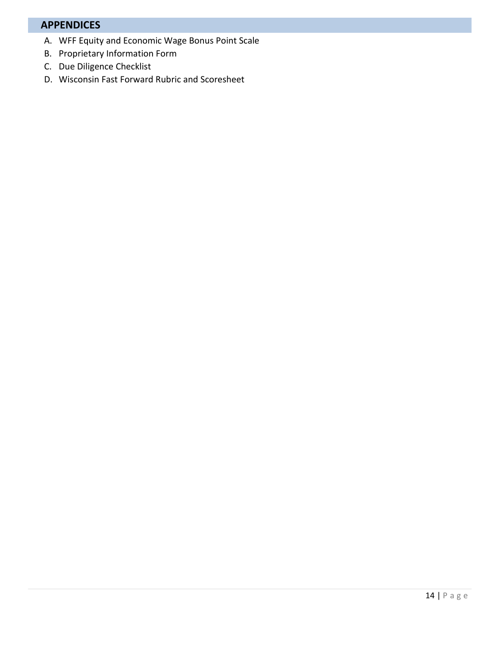# **APPENDICES**

- A. WFF Equity and Economic Wage Bonus Point Scale
- B. Proprietary Information Form
- C. Due Diligence Checklist
- D. Wisconsin Fast Forward Rubric and Scoresheet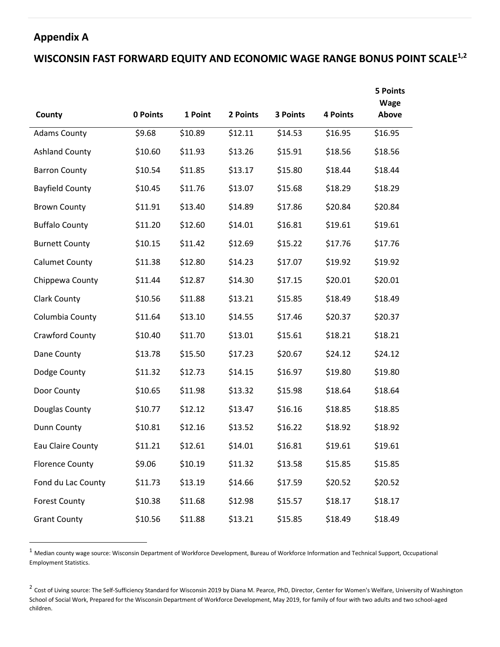# **Appendix A**

# **WISCONSIN FAST FORWARD EQUITY AND ECONOMIC WAGE RANGE BONUS POINT SCALE1,2**

|                        |          |         |          |          |                 | <b>5 Points</b><br>Wage |
|------------------------|----------|---------|----------|----------|-----------------|-------------------------|
| County                 | 0 Points | 1 Point | 2 Points | 3 Points | <b>4 Points</b> | Above                   |
| <b>Adams County</b>    | \$9.68   | \$10.89 | \$12.11  | \$14.53  | \$16.95         | \$16.95                 |
| <b>Ashland County</b>  | \$10.60  | \$11.93 | \$13.26  | \$15.91  | \$18.56         | \$18.56                 |
| <b>Barron County</b>   | \$10.54  | \$11.85 | \$13.17  | \$15.80  | \$18.44         | \$18.44                 |
| <b>Bayfield County</b> | \$10.45  | \$11.76 | \$13.07  | \$15.68  | \$18.29         | \$18.29                 |
| <b>Brown County</b>    | \$11.91  | \$13.40 | \$14.89  | \$17.86  | \$20.84         | \$20.84                 |
| <b>Buffalo County</b>  | \$11.20  | \$12.60 | \$14.01  | \$16.81  | \$19.61         | \$19.61                 |
| <b>Burnett County</b>  | \$10.15  | \$11.42 | \$12.69  | \$15.22  | \$17.76         | \$17.76                 |
| <b>Calumet County</b>  | \$11.38  | \$12.80 | \$14.23  | \$17.07  | \$19.92         | \$19.92                 |
| Chippewa County        | \$11.44  | \$12.87 | \$14.30  | \$17.15  | \$20.01         | \$20.01                 |
| <b>Clark County</b>    | \$10.56  | \$11.88 | \$13.21  | \$15.85  | \$18.49         | \$18.49                 |
| Columbia County        | \$11.64  | \$13.10 | \$14.55  | \$17.46  | \$20.37         | \$20.37                 |
| Crawford County        | \$10.40  | \$11.70 | \$13.01  | \$15.61  | \$18.21         | \$18.21                 |
| Dane County            | \$13.78  | \$15.50 | \$17.23  | \$20.67  | \$24.12         | \$24.12                 |
| Dodge County           | \$11.32  | \$12.73 | \$14.15  | \$16.97  | \$19.80         | \$19.80                 |
| Door County            | \$10.65  | \$11.98 | \$13.32  | \$15.98  | \$18.64         | \$18.64                 |
| Douglas County         | \$10.77  | \$12.12 | \$13.47  | \$16.16  | \$18.85         | \$18.85                 |
| Dunn County            | \$10.81  | \$12.16 | \$13.52  | \$16.22  | \$18.92         | \$18.92                 |
| Eau Claire County      | \$11.21  | \$12.61 | \$14.01  | \$16.81  | \$19.61         | \$19.61                 |
| <b>Florence County</b> | \$9.06   | \$10.19 | \$11.32  | \$13.58  | \$15.85         | \$15.85                 |
| Fond du Lac County     | \$11.73  | \$13.19 | \$14.66  | \$17.59  | \$20.52         | \$20.52                 |
| <b>Forest County</b>   | \$10.38  | \$11.68 | \$12.98  | \$15.57  | \$18.17         | \$18.17                 |
| <b>Grant County</b>    | \$10.56  | \$11.88 | \$13.21  | \$15.85  | \$18.49         | \$18.49                 |

<sup>1</sup> Median county wage source: Wisconsin Department of Workforce Development, Bureau of Workforce Information and Technical Support, Occupational Employment Statistics.

<sup>2</sup> Cost of Living source: The Self-Sufficiency Standard for Wisconsin 2019 by Diana M. Pearce, PhD, Director, Center for Women's Welfare, University of Washington School of Social Work, Prepared for the Wisconsin Department of Workforce Development, May 2019, for family of four with two adults and two school-aged children.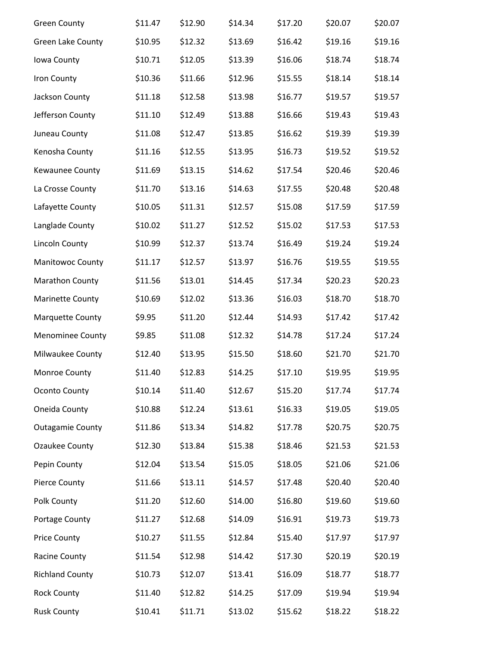| <b>Green County</b>      | \$11.47 | \$12.90 | \$14.34 | \$17.20 | \$20.07 | \$20.07 |
|--------------------------|---------|---------|---------|---------|---------|---------|
| <b>Green Lake County</b> | \$10.95 | \$12.32 | \$13.69 | \$16.42 | \$19.16 | \$19.16 |
| Iowa County              | \$10.71 | \$12.05 | \$13.39 | \$16.06 | \$18.74 | \$18.74 |
| Iron County              | \$10.36 | \$11.66 | \$12.96 | \$15.55 | \$18.14 | \$18.14 |
| Jackson County           | \$11.18 | \$12.58 | \$13.98 | \$16.77 | \$19.57 | \$19.57 |
| Jefferson County         | \$11.10 | \$12.49 | \$13.88 | \$16.66 | \$19.43 | \$19.43 |
| Juneau County            | \$11.08 | \$12.47 | \$13.85 | \$16.62 | \$19.39 | \$19.39 |
| Kenosha County           | \$11.16 | \$12.55 | \$13.95 | \$16.73 | \$19.52 | \$19.52 |
| Kewaunee County          | \$11.69 | \$13.15 | \$14.62 | \$17.54 | \$20.46 | \$20.46 |
| La Crosse County         | \$11.70 | \$13.16 | \$14.63 | \$17.55 | \$20.48 | \$20.48 |
| Lafayette County         | \$10.05 | \$11.31 | \$12.57 | \$15.08 | \$17.59 | \$17.59 |
| Langlade County          | \$10.02 | \$11.27 | \$12.52 | \$15.02 | \$17.53 | \$17.53 |
| Lincoln County           | \$10.99 | \$12.37 | \$13.74 | \$16.49 | \$19.24 | \$19.24 |
| Manitowoc County         | \$11.17 | \$12.57 | \$13.97 | \$16.76 | \$19.55 | \$19.55 |
| Marathon County          | \$11.56 | \$13.01 | \$14.45 | \$17.34 | \$20.23 | \$20.23 |
| <b>Marinette County</b>  | \$10.69 | \$12.02 | \$13.36 | \$16.03 | \$18.70 | \$18.70 |
| <b>Marquette County</b>  | \$9.95  | \$11.20 | \$12.44 | \$14.93 | \$17.42 | \$17.42 |
| Menominee County         | \$9.85  | \$11.08 | \$12.32 | \$14.78 | \$17.24 | \$17.24 |
| Milwaukee County         | \$12.40 | \$13.95 | \$15.50 | \$18.60 | \$21.70 | \$21.70 |
| Monroe County            | \$11.40 | \$12.83 | \$14.25 | \$17.10 | \$19.95 | \$19.95 |
| Oconto County            | \$10.14 | \$11.40 | \$12.67 | \$15.20 | \$17.74 | \$17.74 |
| Oneida County            | \$10.88 | \$12.24 | \$13.61 | \$16.33 | \$19.05 | \$19.05 |
| <b>Outagamie County</b>  | \$11.86 | \$13.34 | \$14.82 | \$17.78 | \$20.75 | \$20.75 |
| <b>Ozaukee County</b>    | \$12.30 | \$13.84 | \$15.38 | \$18.46 | \$21.53 | \$21.53 |
| Pepin County             | \$12.04 | \$13.54 | \$15.05 | \$18.05 | \$21.06 | \$21.06 |
| <b>Pierce County</b>     | \$11.66 | \$13.11 | \$14.57 | \$17.48 | \$20.40 | \$20.40 |
| Polk County              | \$11.20 | \$12.60 | \$14.00 | \$16.80 | \$19.60 | \$19.60 |
| Portage County           | \$11.27 | \$12.68 | \$14.09 | \$16.91 | \$19.73 | \$19.73 |
| <b>Price County</b>      | \$10.27 | \$11.55 | \$12.84 | \$15.40 | \$17.97 | \$17.97 |
| Racine County            | \$11.54 | \$12.98 | \$14.42 | \$17.30 | \$20.19 | \$20.19 |
| <b>Richland County</b>   | \$10.73 | \$12.07 | \$13.41 | \$16.09 | \$18.77 | \$18.77 |
| <b>Rock County</b>       | \$11.40 | \$12.82 | \$14.25 | \$17.09 | \$19.94 | \$19.94 |
| <b>Rusk County</b>       | \$10.41 | \$11.71 | \$13.02 | \$15.62 | \$18.22 | \$18.22 |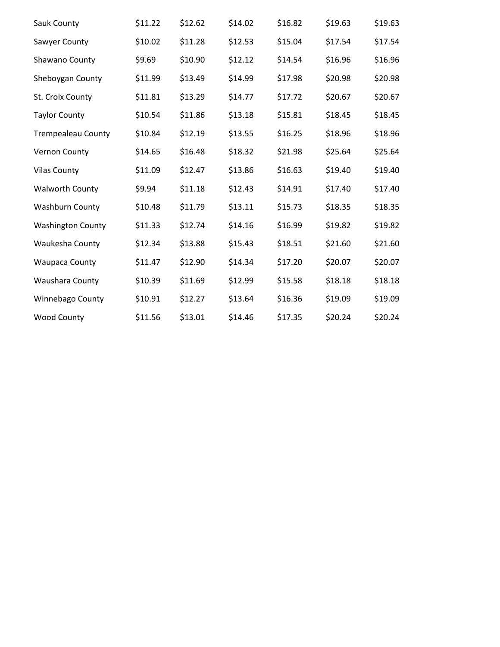| Sauk County               | \$11.22 | \$12.62 | \$14.02 | \$16.82 | \$19.63 | \$19.63 |
|---------------------------|---------|---------|---------|---------|---------|---------|
| Sawyer County             | \$10.02 | \$11.28 | \$12.53 | \$15.04 | \$17.54 | \$17.54 |
| Shawano County            | \$9.69  | \$10.90 | \$12.12 | \$14.54 | \$16.96 | \$16.96 |
| Sheboygan County          | \$11.99 | \$13.49 | \$14.99 | \$17.98 | \$20.98 | \$20.98 |
| St. Croix County          | \$11.81 | \$13.29 | \$14.77 | \$17.72 | \$20.67 | \$20.67 |
| <b>Taylor County</b>      | \$10.54 | \$11.86 | \$13.18 | \$15.81 | \$18.45 | \$18.45 |
| <b>Trempealeau County</b> | \$10.84 | \$12.19 | \$13.55 | \$16.25 | \$18.96 | \$18.96 |
| Vernon County             | \$14.65 | \$16.48 | \$18.32 | \$21.98 | \$25.64 | \$25.64 |
| <b>Vilas County</b>       | \$11.09 | \$12.47 | \$13.86 | \$16.63 | \$19.40 | \$19.40 |
| <b>Walworth County</b>    | \$9.94  | \$11.18 | \$12.43 | \$14.91 | \$17.40 | \$17.40 |
| <b>Washburn County</b>    | \$10.48 | \$11.79 | \$13.11 | \$15.73 | \$18.35 | \$18.35 |
| <b>Washington County</b>  | \$11.33 | \$12.74 | \$14.16 | \$16.99 | \$19.82 | \$19.82 |
| Waukesha County           | \$12.34 | \$13.88 | \$15.43 | \$18.51 | \$21.60 | \$21.60 |
| <b>Waupaca County</b>     | \$11.47 | \$12.90 | \$14.34 | \$17.20 | \$20.07 | \$20.07 |
| Waushara County           | \$10.39 | \$11.69 | \$12.99 | \$15.58 | \$18.18 | \$18.18 |
| Winnebago County          | \$10.91 | \$12.27 | \$13.64 | \$16.36 | \$19.09 | \$19.09 |
| <b>Wood County</b>        | \$11.56 | \$13.01 | \$14.46 | \$17.35 | \$20.24 | \$20.24 |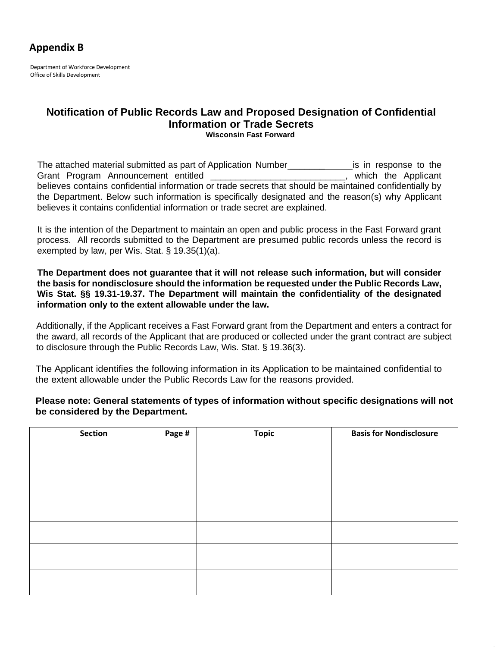# **Appendix B**

Department of Workforce Development Office of Skills Development

### **Notification of Public Records Law and Proposed Designation of Confidential Information or Trade Secrets Wisconsin Fast Forward**

The attached material submitted as part of Application Number **Example 2** is in response to the Grant Program Announcement entitled \_\_\_\_\_\_\_\_\_\_\_\_\_\_\_\_\_\_\_\_\_\_\_\_\_\_\_\_\_, which the Applicant believes contains confidential information or trade secrets that should be maintained confidentially by the Department. Below such information is specifically designated and the reason(s) why Applicant believes it contains confidential information or trade secret are explained.

It is the intention of the Department to maintain an open and public process in the Fast Forward grant process. All records submitted to the Department are presumed public records unless the record is exempted by law, per Wis. Stat. § 19.35(1)(a).

**The Department does not guarantee that it will not release such information, but will consider the basis for nondisclosure should the information be requested under the Public Records Law, Wis Stat. §§ 19.31-19.37. The Department will maintain the confidentiality of the designated information only to the extent allowable under the law.**

Additionally, if the Applicant receives a Fast Forward grant from the Department and enters a contract for the award, all records of the Applicant that are produced or collected under the grant contract are subject to disclosure through the Public Records Law, Wis. Stat. § 19.36(3).

The Applicant identifies the following information in its Application to be maintained confidential to the extent allowable under the Public Records Law for the reasons provided.

**Please note: General statements of types of information without specific designations will not be considered by the Department.** 

| Section | Page # | <b>Topic</b> | <b>Basis for Nondisclosure</b> |
|---------|--------|--------------|--------------------------------|
|         |        |              |                                |
|         |        |              |                                |
|         |        |              |                                |
|         |        |              |                                |
|         |        |              |                                |
|         |        |              |                                |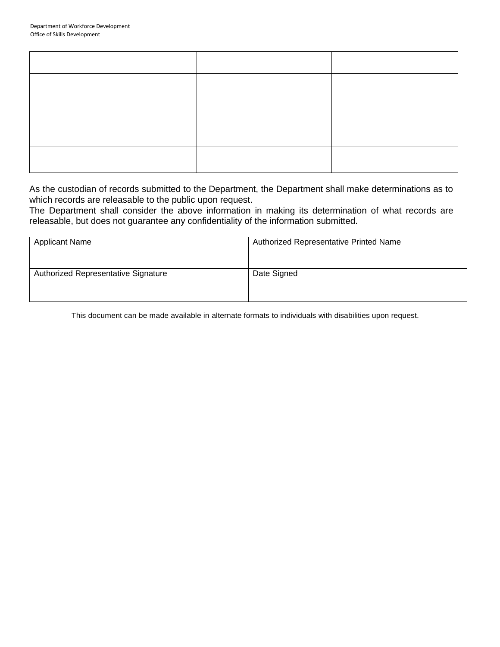As the custodian of records submitted to the Department, the Department shall make determinations as to which records are releasable to the public upon request.

The Department shall consider the above information in making its determination of what records are releasable, but does not guarantee any confidentiality of the information submitted.

| <b>Applicant Name</b>               | Authorized Representative Printed Name |
|-------------------------------------|----------------------------------------|
| Authorized Representative Signature | Date Signed                            |

This document can be made available in alternate formats to individuals with disabilities upon request.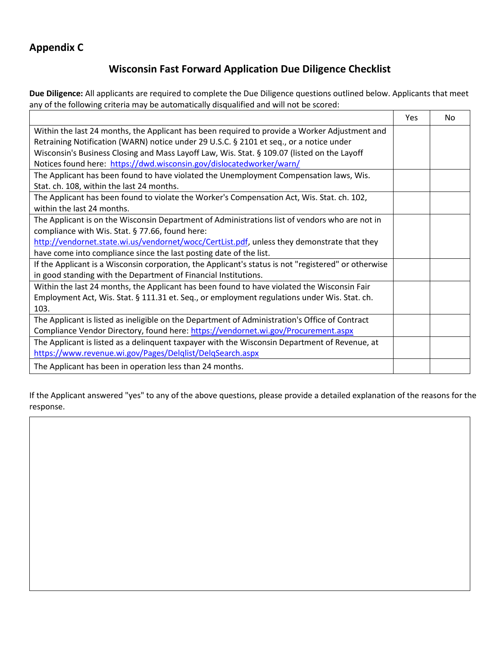# **Appendix C**

# **Wisconsin Fast Forward Application Due Diligence Checklist**

**Due Diligence:** All applicants are required to complete the Due Diligence questions outlined below. Applicants that meet any of the following criteria may be automatically disqualified and will not be scored:  $\overline{\phantom{0}}$  $\overline{\phantom{a}}$ 

|                                                                                                      | Yes | No. |
|------------------------------------------------------------------------------------------------------|-----|-----|
| Within the last 24 months, the Applicant has been required to provide a Worker Adjustment and        |     |     |
| Retraining Notification (WARN) notice under 29 U.S.C. § 2101 et seq., or a notice under              |     |     |
| Wisconsin's Business Closing and Mass Layoff Law, Wis. Stat. § 109.07 (listed on the Layoff          |     |     |
| Notices found here: https://dwd.wisconsin.gov/dislocatedworker/warn/                                 |     |     |
| The Applicant has been found to have violated the Unemployment Compensation laws, Wis.               |     |     |
| Stat. ch. 108, within the last 24 months.                                                            |     |     |
| The Applicant has been found to violate the Worker's Compensation Act, Wis. Stat. ch. 102,           |     |     |
| within the last 24 months.                                                                           |     |     |
| The Applicant is on the Wisconsin Department of Administrations list of vendors who are not in       |     |     |
| compliance with Wis. Stat. § 77.66, found here:                                                      |     |     |
| http://vendornet.state.wi.us/vendornet/wocc/CertList.pdf, unless they demonstrate that they          |     |     |
| have come into compliance since the last posting date of the list.                                   |     |     |
| If the Applicant is a Wisconsin corporation, the Applicant's status is not "registered" or otherwise |     |     |
| in good standing with the Department of Financial Institutions.                                      |     |     |
| Within the last 24 months, the Applicant has been found to have violated the Wisconsin Fair          |     |     |
| Employment Act, Wis. Stat. § 111.31 et. Seq., or employment regulations under Wis. Stat. ch.         |     |     |
| 103.                                                                                                 |     |     |
| The Applicant is listed as ineligible on the Department of Administration's Office of Contract       |     |     |
| Compliance Vendor Directory, found here: https://vendornet.wi.gov/Procurement.aspx                   |     |     |
| The Applicant is listed as a delinquent taxpayer with the Wisconsin Department of Revenue, at        |     |     |
| https://www.revenue.wi.gov/Pages/Delqlist/DelqSearch.aspx                                            |     |     |
| The Applicant has been in operation less than 24 months.                                             |     |     |

If the Applicant answered "yes" to any of the above questions, please provide a detailed explanation of the reasons for the response.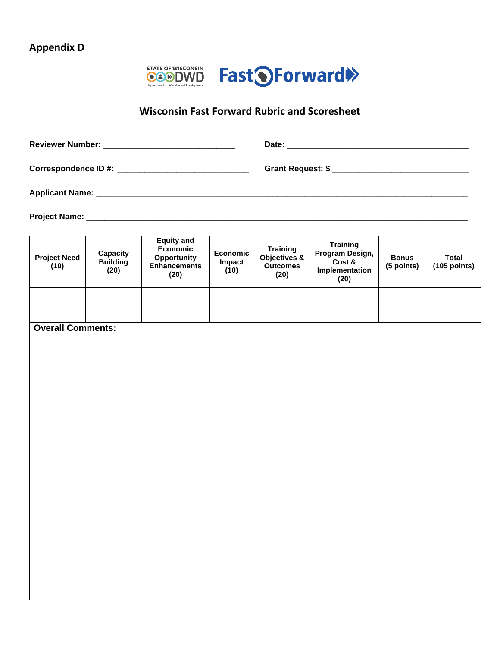# **Appendix D**



# **Wisconsin Fast Forward Rubric and Scoresheet**

| <b>Project Need</b><br>(10) | Capacity<br><b>Building</b><br>(20) | <b>Equity and</b><br>Economic<br>Opportunity<br><b>Enhancements</b><br>(20) | Economic<br>Impact<br>(10) | Training<br>Objectives &<br><b>Outcomes</b><br>(20) | <b>Training</b><br>Program Design,<br>Cost &<br>Implementation<br>(20) | <b>Bonus</b><br>(5 points) | <b>Total</b><br>$(105$ points) |
|-----------------------------|-------------------------------------|-----------------------------------------------------------------------------|----------------------------|-----------------------------------------------------|------------------------------------------------------------------------|----------------------------|--------------------------------|
|                             |                                     |                                                                             |                            |                                                     |                                                                        |                            |                                |
| <b>Overall Comments:</b>    |                                     |                                                                             |                            |                                                     |                                                                        |                            |                                |
|                             |                                     |                                                                             |                            |                                                     |                                                                        |                            |                                |
|                             |                                     |                                                                             |                            |                                                     |                                                                        |                            |                                |
|                             |                                     |                                                                             |                            |                                                     |                                                                        |                            |                                |
|                             |                                     |                                                                             |                            |                                                     |                                                                        |                            |                                |
|                             |                                     |                                                                             |                            |                                                     |                                                                        |                            |                                |
|                             |                                     |                                                                             |                            |                                                     |                                                                        |                            |                                |
|                             |                                     |                                                                             |                            |                                                     |                                                                        |                            |                                |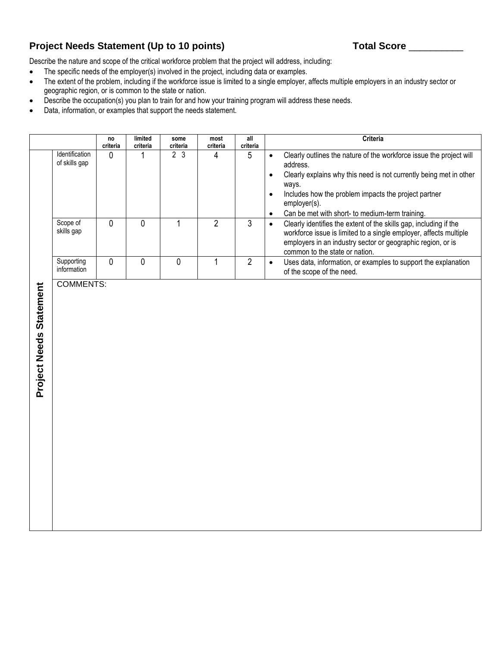# Project Needs Statement (Up to 10 points) Total Score \_\_\_\_\_\_\_\_\_\_\_\_\_

Describe the nature and scope of the critical workforce problem that the project will address, including:

- The specific needs of the employer(s) involved in the project, including data or examples.
- The extent of the problem, including if the workforce issue is limited to a single employer, affects multiple employers in an industry sector or geographic region, or is common to the state or nation.
- Describe the occupation(s) you plan to train for and how your training program will address these needs.
- Data, information, or examples that support the needs statement.

|                         |                                 | no<br>criteria | limited<br>criteria | some<br>criteria | most<br>criteria | all<br>criteria | Criteria                                                                                                                                                                                                                                                                                                                         |
|-------------------------|---------------------------------|----------------|---------------------|------------------|------------------|-----------------|----------------------------------------------------------------------------------------------------------------------------------------------------------------------------------------------------------------------------------------------------------------------------------------------------------------------------------|
|                         | Identification<br>of skills gap | 0              | 1                   | 2 <sub>3</sub>   | 4                | 5               | Clearly outlines the nature of the workforce issue the project will<br>$\bullet$<br>address.<br>Clearly explains why this need is not currently being met in other<br>ways.<br>Includes how the problem impacts the project partner<br>$\bullet$<br>employer(s).<br>Can be met with short- to medium-term training.<br>$\bullet$ |
|                         | Scope of<br>skills gap          | $\mathbf 0$    | $\mathbf 0$         | $\mathbf{1}$     | $\overline{2}$   | $\overline{3}$  | Clearly identifies the extent of the skills gap, including if the<br>$\bullet$<br>workforce issue is limited to a single employer, affects multiple<br>employers in an industry sector or geographic region, or is<br>common to the state or nation.                                                                             |
|                         | Supporting<br>information       | 0              | $\mathbf 0$         | $\mathbf 0$      | 1                | $\overline{2}$  | Uses data, information, or examples to support the explanation<br>$\bullet$<br>of the scope of the need.                                                                                                                                                                                                                         |
| Project Needs Statement | <b>COMMENTS:</b>                |                |                     |                  |                  |                 |                                                                                                                                                                                                                                                                                                                                  |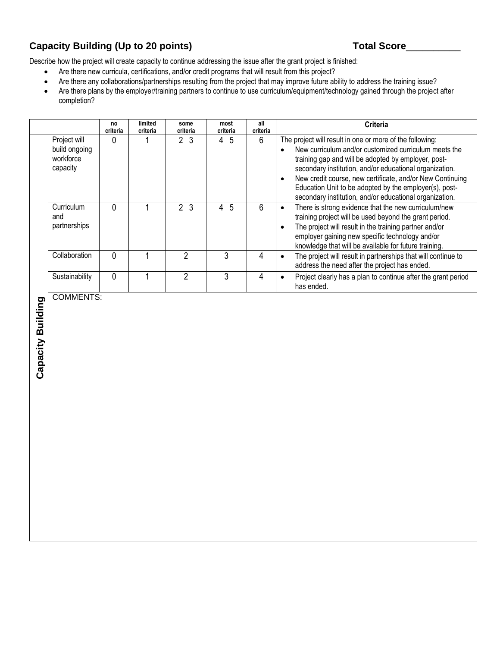# Capacity Building (Up to 20 points) and the set of the set of the Score of Total Score

Describe how the project will create capacity to continue addressing the issue after the grant project is finished:

- Are there new curricula, certifications, and/or credit programs that will result from this project?
- Are there any collaborations/partnerships resulting from the project that may improve future ability to address the training issue?
- Are there plans by the employer/training partners to continue to use curriculum/equipment/technology gained through the project after completion?

|                   |                                                        | no<br>criteria | limited<br>criteria | some<br>criteria | most<br>criteria                 | a<br>criteria | Criteria                                                                                                                                                                                                                                                                                                                                                                                                                                        |
|-------------------|--------------------------------------------------------|----------------|---------------------|------------------|----------------------------------|---------------|-------------------------------------------------------------------------------------------------------------------------------------------------------------------------------------------------------------------------------------------------------------------------------------------------------------------------------------------------------------------------------------------------------------------------------------------------|
|                   | Project will<br>build ongoing<br>workforce<br>capacity | 0              | 1                   | 2 <sub>3</sub>   | 4 5                              | 6             | The project will result in one or more of the following:<br>New curriculum and/or customized curriculum meets the<br>$\bullet$<br>training gap and will be adopted by employer, post-<br>secondary institution, and/or educational organization.<br>New credit course, new certificate, and/or New Continuing<br>$\bullet$<br>Education Unit to be adopted by the employer(s), post-<br>secondary institution, and/or educational organization. |
|                   | Curriculum<br>and<br>partnerships                      | $\overline{0}$ | $\mathbf{1}$        | $\overline{2}$ 3 | $\overline{5}$<br>$\overline{4}$ | 6             | There is strong evidence that the new curriculum/new<br>$\bullet$<br>training project will be used beyond the grant period.<br>The project will result in the training partner and/or<br>$\bullet$<br>employer gaining new specific technology and/or<br>knowledge that will be available for future training.                                                                                                                                  |
|                   | Collaboration                                          | $\mathbf 0$    | $\mathbf{1}$        | $\overline{2}$   | 3                                | 4             | The project will result in partnerships that will continue to<br>$\bullet$<br>address the need after the project has ended.                                                                                                                                                                                                                                                                                                                     |
|                   | Sustainability                                         | 0              | $\mathbf{1}$        | $\overline{2}$   | 3                                | 4             | Project clearly has a plan to continue after the grant period<br>$\bullet$<br>has ended.                                                                                                                                                                                                                                                                                                                                                        |
| Capacity Building |                                                        |                |                     |                  |                                  |               |                                                                                                                                                                                                                                                                                                                                                                                                                                                 |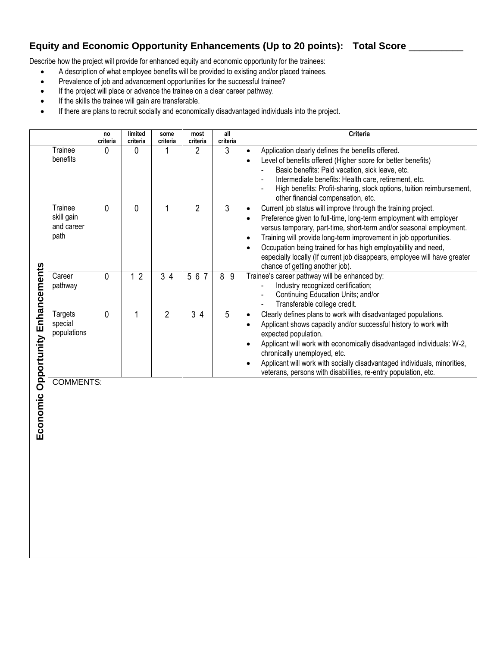# **Equity and Economic Opportunity Enhancements (Up to 20 points): Total Score** \_\_\_\_\_\_\_\_\_\_

Describe how the project will provide for enhanced equity and economic opportunity for the trainees:

- A description of what employee benefits will be provided to existing and/or placed trainees.
- Prevalence of job and advancement opportunities for the successful trainee?
- If the project will place or advance the trainee on a clear career pathway.
- If the skills the trainee will gain are transferable.
- If there are plans to recruit socially and economically disadvantaged individuals into the project.

|                          |                                             | no<br>criteria | limited<br>criteria | some<br>criteria | most<br>criteria | all<br>criteria | Criteria                                                                                                                                                                                                                                                                                                                                                                                                                                                                                                            |
|--------------------------|---------------------------------------------|----------------|---------------------|------------------|------------------|-----------------|---------------------------------------------------------------------------------------------------------------------------------------------------------------------------------------------------------------------------------------------------------------------------------------------------------------------------------------------------------------------------------------------------------------------------------------------------------------------------------------------------------------------|
| Opportunity Enhancements | Trainee<br>benefits                         | 0              | 0                   |                  | $\overline{2}$   | 3               | Application clearly defines the benefits offered.<br>$\bullet$<br>Level of benefits offered (Higher score for better benefits)<br>$\bullet$<br>Basic benefits: Paid vacation, sick leave, etc.<br>Intermediate benefits: Health care, retirement, etc.<br>High benefits: Profit-sharing, stock options, tuition reimbursement,<br>other financial compensation, etc.                                                                                                                                                |
|                          | Trainee<br>skill gain<br>and career<br>path | 0              | 0                   |                  | $\overline{2}$   | 3               | Current job status will improve through the training project.<br>$\bullet$<br>Preference given to full-time, long-term employment with employer<br>$\bullet$<br>versus temporary, part-time, short-term and/or seasonal employment.<br>Training will provide long-term improvement in job opportunities.<br>$\bullet$<br>Occupation being trained for has high employability and need,<br>$\bullet$<br>especially locally (If current job disappears, employee will have greater<br>chance of getting another job). |
|                          | Career<br>pathway                           | $\mathbf{0}$   | 12                  | 34               | 567              | 8<br>9          | Trainee's career pathway will be enhanced by:<br>Industry recognized certification;<br>Continuing Education Units; and/or<br>Transferable college credit.                                                                                                                                                                                                                                                                                                                                                           |
|                          | <b>Targets</b><br>special<br>populations    | $\mathbf{0}$   |                     | $\overline{2}$   | 34               | 5               | Clearly defines plans to work with disadvantaged populations.<br>$\bullet$<br>Applicant shows capacity and/or successful history to work with<br>$\bullet$<br>expected population.<br>Applicant will work with economically disadvantaged individuals: W-2,<br>$\bullet$<br>chronically unemployed, etc.<br>Applicant will work with socially disadvantaged individuals, minorities,<br>$\bullet$<br>veterans, persons with disabilities, re-entry population, etc.                                                 |
| Economic                 | <b>COMMENTS:</b>                            |                |                     |                  |                  |                 |                                                                                                                                                                                                                                                                                                                                                                                                                                                                                                                     |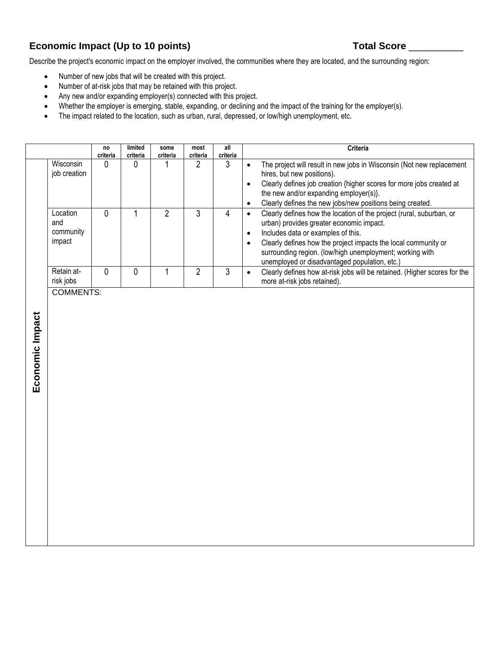# Economic Impact (Up to 10 points) Total Score \_\_\_\_\_\_\_\_\_\_\_\_\_\_\_\_\_\_\_\_\_\_\_\_\_\_\_\_\_\_\_\_\_\_\_

Describe the project's economic impact on the employer involved, the communities where they are located, and the surrounding region:

- Number of new jobs that will be created with this project.
- Number of at-risk jobs that may be retained with this project.
- Any new and/or expanding employer(s) connected with this project.
- Whether the employer is emerging, stable, expanding, or declining and the impact of the training for the employer(s).
- The impact related to the location, such as urban, rural, depressed, or low/high unemployment, etc.

|                                        | no<br>criteria | limited<br>criteria | some<br>criteria | most<br>criteria | all<br>criteria | <b>Criteria</b>                                                                                                                                                                                                                                                                                                                       |
|----------------------------------------|----------------|---------------------|------------------|------------------|-----------------|---------------------------------------------------------------------------------------------------------------------------------------------------------------------------------------------------------------------------------------------------------------------------------------------------------------------------------------|
| Wisconsin<br>job creation              | O              | 0                   |                  |                  | 3               | The project will result in new jobs in Wisconsin (Not new replacement<br>hires, but new positions).<br>Clearly defines job creation {higher scores for more jobs created at<br>the new and/or expanding employer(s).<br>Clearly defines the new jobs/new positions being created.<br>$\bullet$                                        |
| Location<br>and<br>community<br>impact | 0              |                     |                  | 3                | 4               | Clearly defines how the location of the project (rural, suburban, or<br>urban) provides greater economic impact.<br>Includes data or examples of this.<br>Clearly defines how the project impacts the local community or<br>surrounding region. (low/high unemployment; working with<br>unemployed or disadvantaged population, etc.) |
| Retain at-<br>risk jobs                | 0              | 0                   |                  | າ                | 3               | Clearly defines how at-risk jobs will be retained. (Higher scores for the<br>more at-risk jobs retained).                                                                                                                                                                                                                             |

COMMENTS: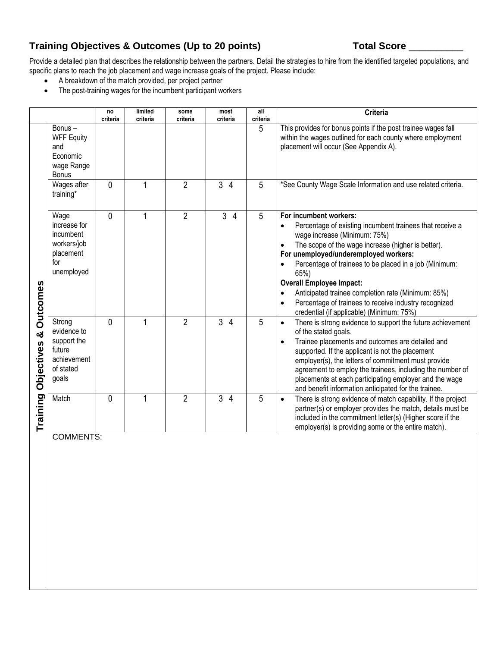# Training Objectives & Outcomes (Up to 20 points) Total Score \_\_\_\_\_\_\_\_

Provide a detailed plan that describes the relationship between the partners. Detail the strategies to hire from the identified targeted populations, and specific plans to reach the job placement and wage increase goals of the project. Please include:

- A breakdown of the match provided, per project partner
- The post-training wages for the incumbent participant workers

|                                                |                                                                                     | no<br>criteria | limited<br>criteria | some<br>criteria | most<br>criteria    | all<br>criteria | Criteria                                                                                                                                                                                                                                                                                                                                                                                                                                                                                                     |
|------------------------------------------------|-------------------------------------------------------------------------------------|----------------|---------------------|------------------|---------------------|-----------------|--------------------------------------------------------------------------------------------------------------------------------------------------------------------------------------------------------------------------------------------------------------------------------------------------------------------------------------------------------------------------------------------------------------------------------------------------------------------------------------------------------------|
| <b>Outcomes</b><br>ಯ<br>Objectives<br>Training | Bonus-<br><b>WFF Equity</b><br>and<br>Economic<br>wage Range<br><b>Bonus</b>        |                |                     |                  |                     | 5               | This provides for bonus points if the post trainee wages fall<br>within the wages outlined for each county where employment<br>placement will occur (See Appendix A).                                                                                                                                                                                                                                                                                                                                        |
|                                                | Wages after<br>training*                                                            | $\mathbf{0}$   |                     | $\overline{2}$   | 3<br>$\overline{4}$ | 5               | *See County Wage Scale Information and use related criteria.                                                                                                                                                                                                                                                                                                                                                                                                                                                 |
|                                                | Wage<br>increase for<br>incumbent<br>workers/job<br>placement<br>for<br>unemployed  | $\Omega$       |                     | $\overline{2}$   | 3<br>$\overline{4}$ | 5               | For incumbent workers:<br>Percentage of existing incumbent trainees that receive a<br>$\bullet$<br>wage increase (Minimum: 75%)<br>The scope of the wage increase (higher is better).<br>For unemployed/underemployed workers:<br>Percentage of trainees to be placed in a job (Minimum:<br>65%)<br><b>Overall Employee Impact:</b><br>Anticipated trainee completion rate (Minimum: 85%)<br>Percentage of trainees to receive industry recognized<br>$\bullet$<br>credential (if applicable) (Minimum: 75%) |
|                                                | Strong<br>evidence to<br>support the<br>future<br>achievement<br>of stated<br>goals | $\Omega$       |                     | $\overline{2}$   | 3<br>$\overline{4}$ | 5               | There is strong evidence to support the future achievement<br>$\bullet$<br>of the stated goals.<br>Trainee placements and outcomes are detailed and<br>$\bullet$<br>supported. If the applicant is not the placement<br>employer(s), the letters of commitment must provide<br>agreement to employ the trainees, including the number of<br>placements at each participating employer and the wage<br>and benefit information anticipated for the trainee.                                                   |
|                                                | Match                                                                               | $\theta$       | 1                   | $\overline{2}$   | 3<br>$\overline{4}$ | 5               | There is strong evidence of match capability. If the project<br>$\bullet$<br>partner(s) or employer provides the match, details must be<br>included in the commitment letter(s) (Higher score if the<br>employer(s) is providing some or the entire match).                                                                                                                                                                                                                                                  |

COMMENTS: